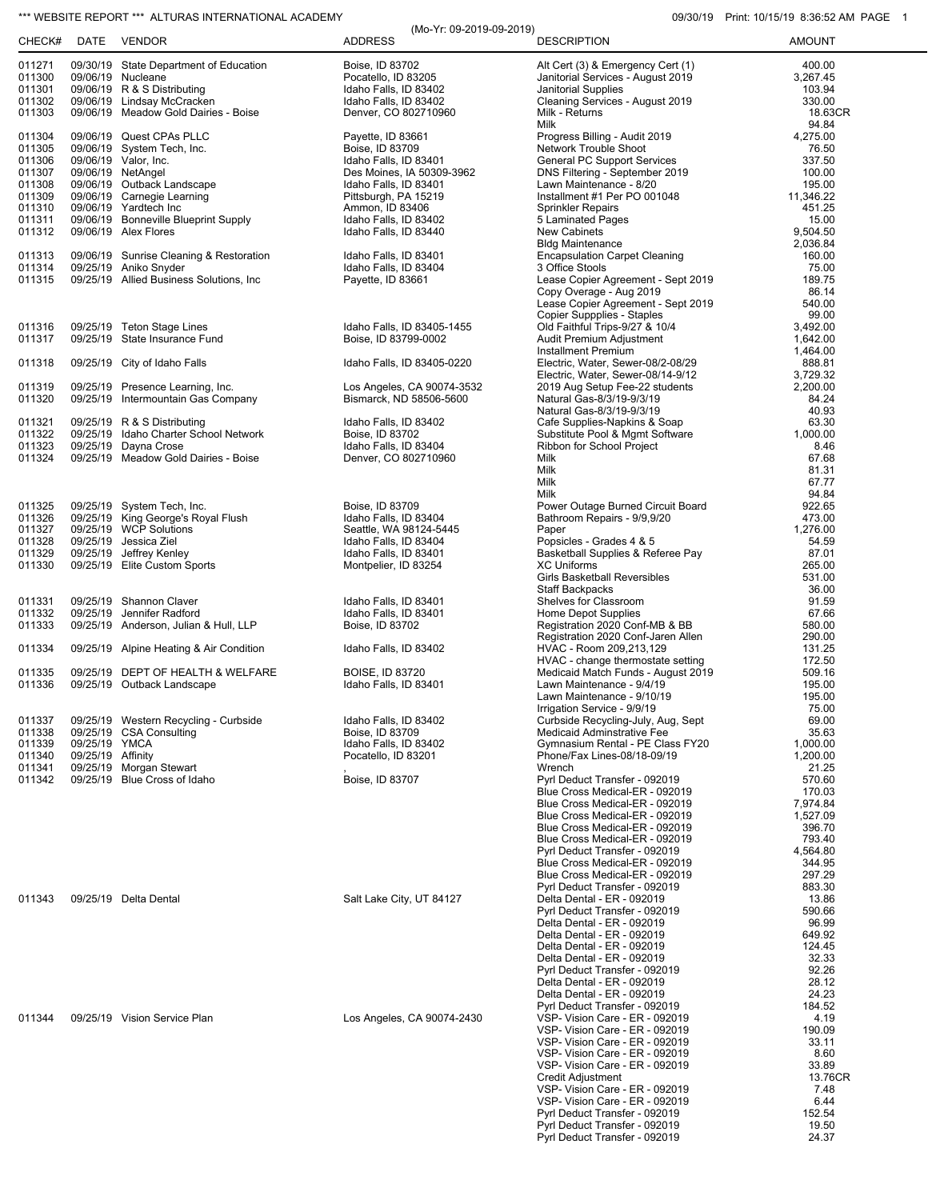## \*\*\* WEBSITE REPORT \*\*\* ALTURAS INTERNATIONAL ACADEMY **CONSUMENT CONSUMING THE CONSUMING OSCILLATE** 10/15/19 8:36:52 AM PAGE 1

| CHECK#           |                   | DATE VENDOR                                                            | (Mo-Yr: 09-2019-09-2019)<br><b>ADDRESS</b>            | <b>DESCRIPTION</b>                                               | 1.111111.107107100.0000027100117<br><b>AMOUNT</b> |
|------------------|-------------------|------------------------------------------------------------------------|-------------------------------------------------------|------------------------------------------------------------------|---------------------------------------------------|
| 011271           |                   | 09/30/19 State Department of Education                                 | Boise, ID 83702                                       | Alt Cert (3) & Emergency Cert (1)                                | 400.00                                            |
| 011300           |                   | 09/06/19 Nucleane                                                      | Pocatello, ID 83205                                   | Janitorial Services - August 2019                                | 3,267.45                                          |
| 011301           |                   | 09/06/19 R & S Distributing                                            | Idaho Falls, ID 83402                                 | Janitorial Supplies                                              | 103.94                                            |
| 011302           |                   | 09/06/19 Lindsay McCracken                                             | Idaho Falls, ID 83402                                 | Cleaning Services - August 2019                                  | 330.00                                            |
| 011303           |                   | 09/06/19 Meadow Gold Dairies - Boise                                   | Denver, CO 802710960                                  | Milk - Returns<br>Milk                                           | 18.63CR                                           |
| 011304           |                   | 09/06/19 Quest CPAs PLLC                                               | Payette, ID 83661                                     | Progress Billing - Audit 2019                                    | 94.84<br>4,275.00                                 |
| 011305           |                   | 09/06/19 System Tech, Inc.                                             | Boise, ID 83709                                       | Network Trouble Shoot                                            | 76.50                                             |
| 011306           |                   | 09/06/19 Valor, Inc.                                                   | Idaho Falls, ID 83401                                 | <b>General PC Support Services</b>                               | 337.50                                            |
| 011307           |                   | 09/06/19 NetAngel                                                      | Des Moines, IA 50309-3962                             | DNS Filtering - September 2019                                   | 100.00                                            |
| 011308<br>011309 |                   | 09/06/19 Outback Landscape<br>09/06/19 Carnegie Learning               | Idaho Falls, ID 83401<br>Pittsburgh, PA 15219         | Lawn Maintenance - 8/20<br>Installment #1 Per PO 001048          | 195.00<br>11,346.22                               |
| 011310           |                   | 09/06/19 Yardtech Inc                                                  | Ammon, ID 83406                                       | <b>Sprinkler Repairs</b>                                         | 451.25                                            |
| 011311           |                   | 09/06/19 Bonneville Blueprint Supply                                   | Idaho Falls, ID 83402                                 | 5 Laminated Pages                                                | 15.00                                             |
| 011312           |                   | 09/06/19 Alex Flores                                                   | Idaho Falls, ID 83440                                 | <b>New Cabinets</b>                                              | 9,504.50                                          |
|                  |                   |                                                                        |                                                       | <b>Bldg Maintenance</b>                                          | 2,036.84                                          |
| 011313<br>011314 |                   | 09/06/19 Sunrise Cleaning & Restoration<br>09/25/19 Aniko Snyder       | Idaho Falls, ID 83401<br>Idaho Falls, ID 83404        | <b>Encapsulation Carpet Cleaning</b><br>3 Office Stools          | 160.00<br>75.00                                   |
| 011315           |                   | 09/25/19 Allied Business Solutions, Inc.                               | Payette, ID 83661                                     | Lease Copier Agreement - Sept 2019                               | 189.75                                            |
|                  |                   |                                                                        |                                                       | Copy Overage - Aug 2019                                          | 86.14                                             |
|                  |                   |                                                                        |                                                       | Lease Copier Agreement - Sept 2019                               | 540.00                                            |
| 011316           |                   | 09/25/19 Teton Stage Lines                                             | Idaho Falls, ID 83405-1455                            | Copier Suppplies - Staples<br>Old Faithful Trips-9/27 & 10/4     | 99.00<br>3,492.00                                 |
| 011317           |                   | 09/25/19 State Insurance Fund                                          | Boise, ID 83799-0002                                  | Audit Premium Adjustment                                         | 1,642.00                                          |
|                  |                   |                                                                        |                                                       | <b>Installment Premium</b>                                       | 1,464.00                                          |
| 011318           |                   | 09/25/19 City of Idaho Falls                                           | Idaho Falls, ID 83405-0220                            | Electric, Water, Sewer-08/2-08/29                                | 888.81                                            |
|                  |                   |                                                                        |                                                       | Electric, Water, Sewer-08/14-9/12                                | 3,729.32                                          |
| 011319<br>011320 |                   | 09/25/19 Presence Learning, Inc.<br>09/25/19 Intermountain Gas Company | Los Angeles, CA 90074-3532<br>Bismarck, ND 58506-5600 | 2019 Aug Setup Fee-22 students<br>Natural Gas-8/3/19-9/3/19      | 2,200.00<br>84.24                                 |
|                  |                   |                                                                        |                                                       | Natural Gas-8/3/19-9/3/19                                        | 40.93                                             |
| 011321           |                   | 09/25/19 R & S Distributing                                            | Idaho Falls, ID 83402                                 | Cafe Supplies-Napkins & Soap                                     | 63.30                                             |
| 011322           |                   | 09/25/19 Idaho Charter School Network                                  | Boise, ID 83702                                       | Substitute Pool & Mgmt Software                                  | 1,000.00                                          |
| 011323           |                   | 09/25/19 Dayna Crose                                                   | Idaho Falls, ID 83404                                 | Ribbon for School Project                                        | 8.46                                              |
| 011324           |                   | 09/25/19 Meadow Gold Dairies - Boise                                   | Denver, CO 802710960                                  | Milk<br>Milk                                                     | 67.68<br>81.31                                    |
|                  |                   |                                                                        |                                                       | Milk                                                             | 67.77                                             |
|                  |                   |                                                                        |                                                       | Milk                                                             | 94.84                                             |
| 011325           |                   | 09/25/19 System Tech, Inc.                                             | Boise, ID 83709                                       | Power Outage Burned Circuit Board                                | 922.65                                            |
| 011326           |                   | 09/25/19 King George's Royal Flush                                     | Idaho Falls, ID 83404                                 | Bathroom Repairs - 9/9,9/20                                      | 473.00                                            |
| 011327<br>011328 |                   | 09/25/19 WCP Solutions<br>09/25/19 Jessica Ziel                        | Seattle, WA 98124-5445<br>Idaho Falls, ID 83404       | Paper<br>Popsicles - Grades 4 & 5                                | 1,276.00<br>54.59                                 |
| 011329           |                   | 09/25/19 Jeffrey Kenley                                                | Idaho Falls, ID 83401                                 | Basketball Supplies & Referee Pay                                | 87.01                                             |
| 011330           |                   | 09/25/19 Elite Custom Sports                                           | Montpelier, ID 83254                                  | <b>XC Uniforms</b>                                               | 265.00                                            |
|                  |                   |                                                                        |                                                       | Girls Basketball Reversibles                                     | 531.00                                            |
|                  |                   |                                                                        |                                                       | Staff Backpacks                                                  | 36.00                                             |
| 011331<br>011332 |                   | 09/25/19 Shannon Claver<br>09/25/19 Jennifer Radford                   | Idaho Falls, ID 83401<br>Idaho Falls, ID 83401        | Shelves for Classroom<br>Home Depot Supplies                     | 91.59<br>67.66                                    |
| 011333           |                   | 09/25/19 Anderson, Julian & Hull, LLP                                  | Boise, ID 83702                                       | Registration 2020 Conf-MB & BB                                   | 580.00                                            |
|                  |                   |                                                                        |                                                       | Registration 2020 Conf-Jaren Allen                               | 290.00                                            |
| 011334           |                   | 09/25/19 Alpine Heating & Air Condition                                | Idaho Falls, ID 83402                                 | HVAC - Room 209,213,129                                          | 131.25                                            |
|                  |                   |                                                                        |                                                       | HVAC - change thermostate setting                                | 172.50                                            |
| 011335<br>011336 |                   | 09/25/19 DEPT OF HEALTH & WELFARE<br>09/25/19 Outback Landscape        | <b>BOISE. ID 83720</b><br>Idaho Falls, ID 83401       | Medicaid Match Funds - August 2019<br>Lawn Maintenance - 9/4/19  | 509.16<br>195.00                                  |
|                  |                   |                                                                        |                                                       | Lawn Maintenance - 9/10/19                                       | 195.00                                            |
|                  |                   |                                                                        |                                                       | Irrigation Service - 9/9/19                                      | 75.00                                             |
| 011337           |                   | 09/25/19 Western Recycling - Curbside                                  | Idaho Falls, ID 83402                                 | Curbside Recycling-July, Aug, Sept                               | 69.00                                             |
| 011338<br>011339 | 09/25/19 YMCA     | 09/25/19 CSA Consulting                                                | Boise, ID 83709                                       | Medicaid Adminstrative Fee<br>Gymnasium Rental - PE Class FY20   | 35.63                                             |
| 011340           | 09/25/19 Affinity |                                                                        | Idaho Falls, ID 83402<br>Pocatello, ID 83201          | Phone/Fax Lines-08/18-09/19                                      | 1,000.00<br>1,200.00                              |
| 011341           |                   | 09/25/19 Morgan Stewart                                                |                                                       | Wrench                                                           | 21.25                                             |
| 011342           |                   | 09/25/19 Blue Cross of Idaho                                           | Boise, ID 83707                                       | Pyrl Deduct Transfer - 092019                                    | 570.60                                            |
|                  |                   |                                                                        |                                                       | Blue Cross Medical-ER - 092019                                   | 170.03                                            |
|                  |                   |                                                                        |                                                       | Blue Cross Medical-ER - 092019<br>Blue Cross Medical-ER - 092019 | 7,974.84<br>1,527.09                              |
|                  |                   |                                                                        |                                                       | Blue Cross Medical-ER - 092019                                   | 396.70                                            |
|                  |                   |                                                                        |                                                       | Blue Cross Medical-ER - 092019                                   | 793.40                                            |
|                  |                   |                                                                        |                                                       | Pyrl Deduct Transfer - 092019                                    | 4,564.80                                          |
|                  |                   |                                                                        |                                                       | Blue Cross Medical-ER - 092019<br>Blue Cross Medical-ER - 092019 | 344.95                                            |
|                  |                   |                                                                        |                                                       | Pyrl Deduct Transfer - 092019                                    | 297.29<br>883.30                                  |
| 011343           |                   | 09/25/19 Delta Dental                                                  | Salt Lake City, UT 84127                              | Delta Dental - ER - 092019                                       | 13.86                                             |
|                  |                   |                                                                        |                                                       | Pyrl Deduct Transfer - 092019                                    | 590.66                                            |
|                  |                   |                                                                        |                                                       | Delta Dental - ER - 092019                                       | 96.99                                             |
|                  |                   |                                                                        |                                                       | Delta Dental - ER - 092019                                       | 649.92                                            |
|                  |                   |                                                                        |                                                       | Delta Dental - ER - 092019<br>Delta Dental - ER - 092019         | 124.45<br>32.33                                   |
|                  |                   |                                                                        |                                                       | Pyrl Deduct Transfer - 092019                                    | 92.26                                             |
|                  |                   |                                                                        |                                                       | Delta Dental - ER - 092019                                       | 28.12                                             |
|                  |                   |                                                                        |                                                       | Delta Dental - ER - 092019                                       | 24.23                                             |
| 011344           |                   | 09/25/19 Vision Service Plan                                           | Los Angeles, CA 90074-2430                            | Pyrl Deduct Transfer - 092019<br>VSP- Vision Care - ER - 092019  | 184.52<br>4.19                                    |
|                  |                   |                                                                        |                                                       | VSP- Vision Care - ER - 092019                                   | 190.09                                            |
|                  |                   |                                                                        |                                                       | VSP- Vision Care - ER - 092019                                   | 33.11                                             |
|                  |                   |                                                                        |                                                       | VSP- Vision Care - ER - 092019                                   | 8.60                                              |
|                  |                   |                                                                        |                                                       | VSP- Vision Care - ER - 092019                                   | 33.89                                             |
|                  |                   |                                                                        |                                                       | <b>Credit Adjustment</b><br>VSP- Vision Care - ER - 092019       | 13.76CR<br>7.48                                   |
|                  |                   |                                                                        |                                                       | VSP- Vision Care - ER - 092019                                   | 6.44                                              |
|                  |                   |                                                                        |                                                       | Pyrl Deduct Transfer - 092019                                    | 152.54                                            |
|                  |                   |                                                                        |                                                       | Pyrl Deduct Transfer - 092019                                    | 19.50                                             |
|                  |                   |                                                                        |                                                       | Pyrl Deduct Transfer - 092019                                    | 24.37                                             |